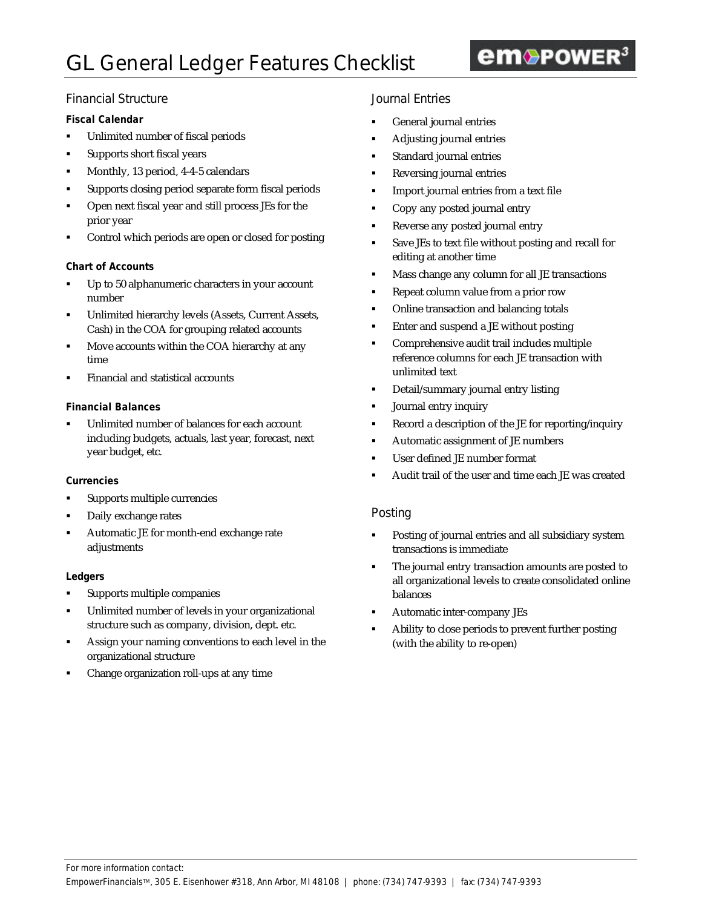# em<sup>O</sup>POWER<sup>3</sup>

## Financial Structure

### **Fiscal Calendar**

- **•** Unlimited number of fiscal periods
- ß Supports short fiscal years
- ß Monthly, 13 period, 4-4-5 calendars
- ß Supports closing period separate form fiscal periods
- ß Open next fiscal year and still process JEs for the prior year
- ß Control which periods are open or closed for posting

#### **Chart of Accounts**

- Up to 50 alphanumeric characters in your account number
- ß Unlimited hierarchy levels (Assets, Current Assets, Cash) in the COA for grouping related accounts
- ß Move accounts within the COA hierarchy at any time
- ß Financial and statistical accounts

#### **Financial Balances**

ß Unlimited number of balances for each account including budgets, actuals, last year, forecast, next year budget, etc.

#### **Currencies**

- ß Supports multiple currencies
- Daily exchange rates
- ß Automatic JE for month-end exchange rate adjustments

#### **Ledgers**

- ß Supports multiple companies
- ß Unlimited number of levels in your organizational structure such as company, division, dept. etc.
- ß Assign your naming conventions to each level in the organizational structure
- ß Change organization roll-ups at any time

## Journal Entries

- ß General journal entries
- ß Adjusting journal entries
- ß Standard journal entries
- **Reversing journal entries**
- **IMPORE IMPORT IS INCOCO EXTER IMPORT**
- ß Copy any posted journal entry
- Reverse any posted journal entry
- **Save JEs to text file without posting and recall for** editing at another time
- **Kass change any column for all JE transactions**
- ß Repeat column value from a prior row
- ß Online transaction and balancing totals
- ß Enter and suspend a JE without posting
- ß Comprehensive audit trail includes multiple reference columns for each JE transaction with unlimited text
- ß Detail/summary journal entry listing
- ß Journal entry inquiry
- ß Record a description of the JE for reporting/inquiry
- **Automatic assignment of JE numbers**
- ß User defined JE number format
- ß Audit trail of the user and time each JE was created

#### Posting

- ß Posting of journal entries and all subsidiary system transactions is immediate
- The journal entry transaction amounts are posted to all organizational levels to create consolidated online balances
- ß Automatic inter-company JEs
- ß Ability to close periods to prevent further posting (with the ability to re-open)